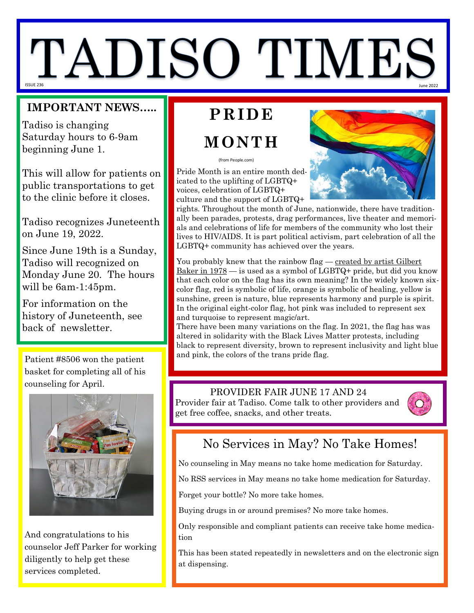# TADISO TIME: ISSUE 236 June 2022

#### **IMPORTANT NEWS…..**

Tadiso is changing Saturday hours to 6-9am beginning June 1.

This will allow for patients on public transportations to get to the clinic before it closes.

Tadiso recognizes Juneteenth on June 19, 2022.

Since June 19th is a Sunday, Tadiso will recognized on Monday June 20. The hours will be 6am-1:45pm.

For information on the history of Juneteenth, see back of newsletter.

basket for completing all of his counseling for April.



And congratulations to his counselor Jeff Parker for working diligently to help get these services completed.

## **PRIDE**

## **MONTH**

(from People.com)

Pride Month is an entire month dedicated to the uplifting of LGBTQ+ voices, celebration of LGBTQ+ culture and the support of LGBTQ+



rights. Throughout the month of June, nationwide, there have traditionally been parades, protests, drag performances, live theater and memorials and celebrations of life for members of the community who lost their lives to HIV/AIDS. It is part political activism, part celebration of all the LGBTQ+ community has achieved over the years.

You probably knew that the rainbow flag — created by artist Gilbert  $Baker$  in  $1978$  — is used as a symbol of LGBTQ+ pride, but did you know that each color on the flag has its own meaning? In the widely known sixcolor flag, red is symbolic of life, orange is symbolic of healing, yellow is sunshine, green is nature, blue represents harmony and purple is spirit. In the original eight-color flag, hot pink was included to represent sex and turquoise to represent magic/art.

There have been many variations on the flag. In 2021, the flag has was altered in solidarity with the Black Lives Matter protests, including black to represent diversity, brown to represent inclusivity and light blue Patient #8506 won the patient and pink, the colors of the trans pride flag.

#### PROVIDER FAIR JUNE 17 AND 24

Provider fair at Tadiso. Come talk to other providers and get free coffee, snacks, and other treats.



### No Services in May? No Take Homes!

No counseling in May means no take home medication for Saturday.

No RSS services in May means no take home medication for Saturday.

Forget your bottle? No more take homes.

Buying drugs in or around premises? No more take homes.

Only responsible and compliant patients can receive take home medication

This has been stated repeatedly in newsletters and on the electronic sign at dispensing.